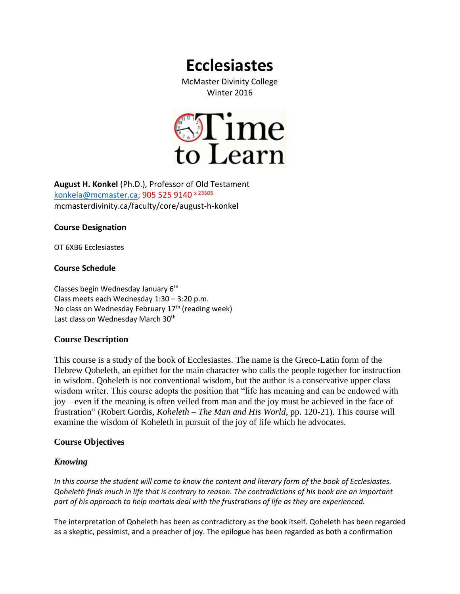# **Ecclesiastes**

McMaster Divinity College Winter 2016



**August H. Konkel** (Ph.D.), Professor of Old Testament [konkela@mcmaster.ca;](mailto:konkela@mcmaster.ca) 905 525 9140 x 23505 mcmasterdivinity.ca/faculty/core/august-h-konkel

# **Course Designation**

OT 6XB6 Ecclesiastes

# **Course Schedule**

Classes begin Wednesday January 6<sup>th</sup> Class meets each Wednesday 1:30 – 3:20 p.m. No class on Wednesday February 17<sup>th</sup> (reading week) Last class on Wednesday March 30<sup>th</sup>

# **Course Description**

This course is a study of the book of Ecclesiastes. The name is the Greco-Latin form of the Hebrew Qoheleth, an epithet for the main character who calls the people together for instruction in wisdom. Qoheleth is not conventional wisdom, but the author is a conservative upper class wisdom writer. This course adopts the position that "life has meaning and can be endowed with joy—even if the meaning is often veiled from man and the joy must be achieved in the face of frustration" (Robert Gordis, *Koheleth – The Man and His World*, pp. 120-21). This course will examine the wisdom of Koheleth in pursuit of the joy of life which he advocates.

# **Course Objectives**

# *Knowing*

*In this course the student will come to know the content and literary form of the book of Ecclesiastes. Qoheleth finds much in life that is contrary to reason. The contradictions of his book are an important part of his approach to help mortals deal with the frustrations of life as they are experienced.*

The interpretation of Qoheleth has been as contradictory as the book itself. Qoheleth has been regarded as a skeptic, pessimist, and a preacher of joy. The epilogue has been regarded as both a confirmation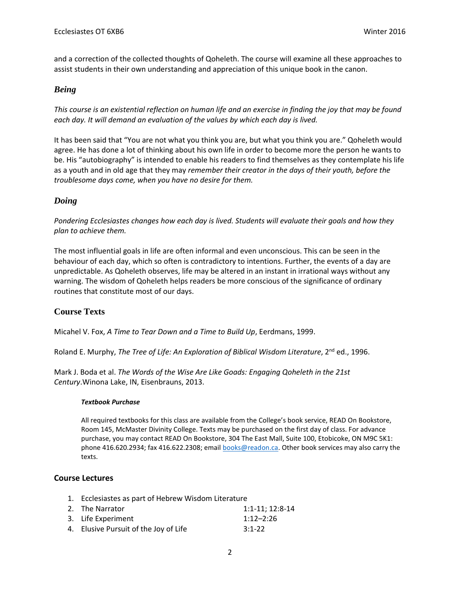and a correction of the collected thoughts of Qoheleth. The course will examine all these approaches to assist students in their own understanding and appreciation of this unique book in the canon.

# *Being*

*This course is an existential reflection on human life and an exercise in finding the joy that may be found each day. It will demand an evaluation of the values by which each day is lived.*

It has been said that "You are not what you think you are, but what you think you are." Qoheleth would agree. He has done a lot of thinking about his own life in order to become more the person he wants to be. His "autobiography" is intended to enable his readers to find themselves as they contemplate his life as a youth and in old age that they may *remember their creator in the days of their youth, before the troublesome days come, when you have no desire for them.*

# *Doing*

*Pondering Ecclesiastes changes how each day is lived. Students will evaluate their goals and how they plan to achieve them.*

The most influential goals in life are often informal and even unconscious. This can be seen in the behaviour of each day, which so often is contradictory to intentions. Further, the events of a day are unpredictable. As Qoheleth observes, life may be altered in an instant in irrational ways without any warning. The wisdom of Qoheleth helps readers be more conscious of the significance of ordinary routines that constitute most of our days.

# **Course Texts**

Micahel V. Fox, *A Time to Tear Down and a Time to Build Up*, Eerdmans, 1999.

Roland E. Murphy, *The Tree of Life: An Exploration of Biblical Wisdom Literature*, 2<sup>nd</sup> ed., 1996.

Mark J. Boda et al. *The Words of the Wise Are Like Goads: Engaging Qoheleth in the 21st Century*.Winona Lake, IN, Eisenbrauns, 2013.

#### *Textbook Purchase*

All required textbooks for this class are available from the College's book service, READ On Bookstore, Room 145, McMaster Divinity College. Texts may be purchased on the first day of class. For advance purchase, you may contact READ On Bookstore, 304 The East Mall, Suite 100, Etobicoke, ON M9C 5K1: phone 416.620.2934; fax 416.622.2308; email **books@readon.ca**. Other book services may also carry the texts.

# **Course Lectures**

- 1. Ecclesiastes as part of Hebrew Wisdom Literature
- 2. The Narrator 1:1-11; 12:8-14 3. Life Experiment 1:12–2:26 4. Elusive Pursuit of the Joy of Life 3:1-22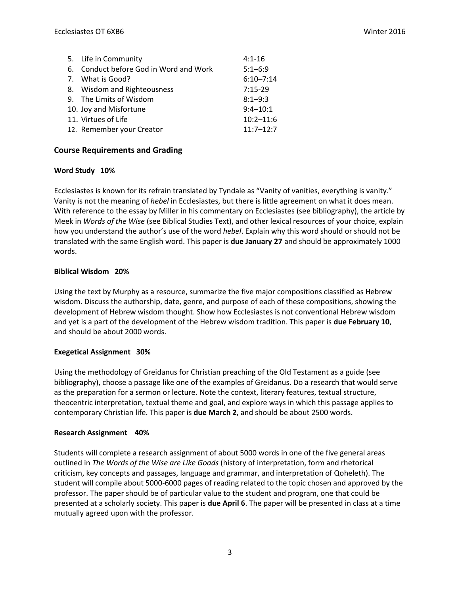| 5. Life in Community                   | $4:1 - 16$    |
|----------------------------------------|---------------|
| 6. Conduct before God in Word and Work | $5:1 - 6:9$   |
| 7. What is Good?                       | $6:10 - 7:14$ |
| 8. Wisdom and Righteousness            | $7:15-29$     |
| 9. The Limits of Wisdom                | $8:1 - 9:3$   |
| 10. Joy and Misfortune                 | $9:4 - 10:1$  |
| 11. Virtues of Life                    | $10:2 - 11:6$ |
| 12. Remember your Creator              | $11:7 - 12:7$ |

# **Course Requirements and Grading**

# **Word Study 10%**

Ecclesiastes is known for its refrain translated by Tyndale as "Vanity of vanities, everything is vanity." Vanity is not the meaning of *hebel* in Ecclesiastes, but there is little agreement on what it does mean. With reference to the essay by Miller in his commentary on Ecclesiastes (see bibliography), the article by Meek in *Words of the Wise* (see Biblical Studies Text), and other lexical resources of your choice, explain how you understand the author's use of the word *hebel*. Explain why this word should or should not be translated with the same English word. This paper is **due January 27** and should be approximately 1000 words.

# **Biblical Wisdom 20%**

Using the text by Murphy as a resource, summarize the five major compositions classified as Hebrew wisdom. Discuss the authorship, date, genre, and purpose of each of these compositions, showing the development of Hebrew wisdom thought. Show how Ecclesiastes is not conventional Hebrew wisdom and yet is a part of the development of the Hebrew wisdom tradition. This paper is **due February 10**, and should be about 2000 words.

# **Exegetical Assignment 30%**

Using the methodology of Greidanus for Christian preaching of the Old Testament as a guide (see bibliography), choose a passage like one of the examples of Greidanus. Do a research that would serve as the preparation for a sermon or lecture. Note the context, literary features, textual structure, theocentric interpretation, textual theme and goal, and explore ways in which this passage applies to contemporary Christian life. This paper is **due March 2**, and should be about 2500 words.

# **Research Assignment 40%**

Students will complete a research assignment of about 5000 words in one of the five general areas outlined in *The Words of the Wise are Like Goads* (history of interpretation, form and rhetorical criticism, key concepts and passages, language and grammar, and interpretation of Qoheleth). The student will compile about 5000-6000 pages of reading related to the topic chosen and approved by the professor. The paper should be of particular value to the student and program, one that could be presented at a scholarly society. This paper is **due April 6**. The paper will be presented in class at a time mutually agreed upon with the professor.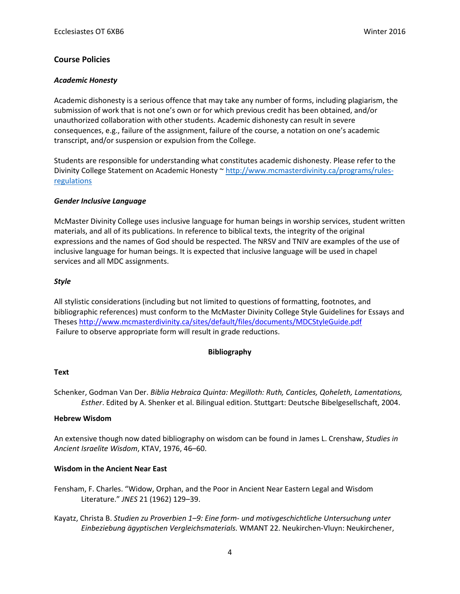# **Course Policies**

# *Academic Honesty*

Academic dishonesty is a serious offence that may take any number of forms, including plagiarism, the submission of work that is not one's own or for which previous credit has been obtained, and/or unauthorized collaboration with other students. Academic dishonesty can result in severe consequences, e.g., failure of the assignment, failure of the course, a notation on one's academic transcript, and/or suspension or expulsion from the College.

Students are responsible for understanding what constitutes academic dishonesty. Please refer to the Divinity College Statement on Academic Honesty ~ [http://www.mcmasterdivinity.ca/programs/rules](http://www.mcmasterdivinity.ca/programs/rules-regulations)[regulations](http://www.mcmasterdivinity.ca/programs/rules-regulations)

# *Gender Inclusive Language*

McMaster Divinity College uses inclusive language for human beings in worship services, student written materials, and all of its publications. In reference to biblical texts, the integrity of the original expressions and the names of God should be respected. The NRSV and TNIV are examples of the use of inclusive language for human beings. It is expected that inclusive language will be used in chapel services and all MDC assignments.

# *Style*

All stylistic considerations (including but not limited to questions of formatting, footnotes, and bibliographic references) must conform to the McMaster Divinity College Style Guidelines for Essays and Theses<http://www.mcmasterdivinity.ca/sites/default/files/documents/MDCStyleGuide.pdf> Failure to observe appropriate form will result in grade reductions.

# **Bibliography**

# **Text**

Schenker, Godman Van Der. *Biblia Hebraica Quinta: Megilloth: Ruth, Canticles, Qoheleth, Lamentations, Esther*. Edited by A. Shenker et al. Bilingual edition. Stuttgart: Deutsche Bibelgesellschaft, 2004.

# **Hebrew Wisdom**

An extensive though now dated bibliography on wisdom can be found in James L. Crenshaw, *Studies in Ancient Israelite Wisdom*, KTAV, 1976, 46–60.

# **Wisdom in the Ancient Near East**

- Fensham, F. Charles. "Widow, Orphan, and the Poor in Ancient Near Eastern Legal and Wisdom Literature." *JNES* 21 (1962) 129–39.
- Kayatz, Christa B. *Studien zu Proverbien 1–9: Eine form- und motivgeschichtliche Untersuchung unter Einbeziebung ägyptischen Vergleichsmaterials.* WMANT 22. Neukirchen-Vluyn: Neukirchener,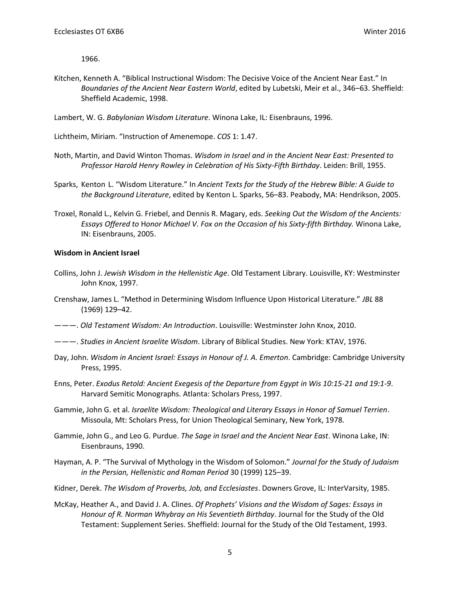1966.

- Kitchen, Kenneth A. "Biblical Instructional Wisdom: The Decisive Voice of the Ancient Near East." In *Boundaries of the Ancient Near Eastern World*, edited by Lubetski, Meir et al., 346–63. Sheffield: Sheffield Academic, 1998.
- Lambert, W. G. *Babylonian Wisdom Literature*. Winona Lake, IL: Eisenbrauns, 1996.

Lichtheim, Miriam. "Instruction of Amenemope. *COS* 1: 1.47.

- Noth, Martin, and David Winton Thomas. *Wisdom in Israel and in the Ancient Near East: Presented to Professor Harold Henry Rowley in Celebration of His Sixty-Fifth Birthday*. Leiden: Brill, 1955.
- Sparks, Kenton L. "Wisdom Literature." In *Ancient Texts for the Study of the Hebrew Bible: A Guide to the Background Literature*, edited by Kenton L. Sparks, 56–83. Peabody, MA: Hendrikson, 2005.
- Troxel, Ronald L., Kelvin G. Friebel, and Dennis R. Magary, eds. *Seeking Out the Wisdom of the Ancients: Essays Offered to* H*onor Michael V. Fox on the Occasion of his Sixty‐fifth Birthday.* Winona Lake, IN: Eisenbrauns, 2005.

#### **Wisdom in Ancient Israel**

- Collins, John J. *Jewish Wisdom in the Hellenistic Age*. Old Testament Library. Louisville, KY: Westminster John Knox, 1997.
- Crenshaw, James L. "Method in Determining Wisdom Influence Upon Historical Literature." *JBL* 88 (1969) 129–42.
- ———. *Old Testament Wisdom: An Introduction*. Louisville: Westminster John Knox, 2010.
- ———. *Studies in Ancient Israelite Wisdom*. Library of Biblical Studies. New York: KTAV, 1976.
- Day, John. *Wisdom in Ancient Israel: Essays in Honour of J. A. Emerton*. Cambridge: Cambridge University Press, 1995.
- Enns, Peter. *Exodus Retold: Ancient Exegesis of the Departure from Egypt in Wis 10:15-21 and 19:1-9*. Harvard Semitic Monographs. Atlanta: Scholars Press, 1997.
- Gammie, John G. et al. *Israelite Wisdom: Theological and Literary Essays in Honor of Samuel Terrien*. Missoula, Mt: Scholars Press, for Union Theological Seminary, New York, 1978.
- Gammie, John G., and Leo G. Purdue. *The Sage in Israel and the Ancient Near East*. Winona Lake, IN: Eisenbrauns, 1990.
- Hayman, A. P. "The Survival of Mythology in the Wisdom of Solomon." *Journal for the Study of Judaism in the Persian, Hellenistic and Roman Period* 30 (1999) 125–39.
- Kidner, Derek. *The Wisdom of Proverbs, Job, and Ecclesiastes*. Downers Grove, IL: InterVarsity, 1985.
- McKay, Heather A., and David J. A. Clines. *Of Prophets' Visions and the Wisdom of Sages: Essays in Honour of R. Norman Whybray on His Seventieth Birthday*. Journal for the Study of the Old Testament: Supplement Series. Sheffield: Journal for the Study of the Old Testament, 1993.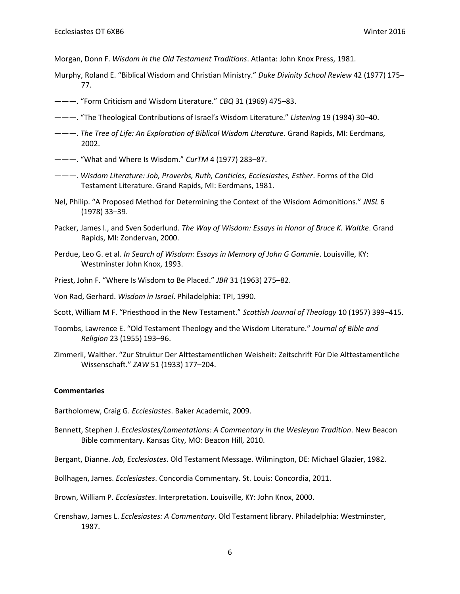Morgan, Donn F. *Wisdom in the Old Testament Traditions*. Atlanta: John Knox Press, 1981.

- Murphy, Roland E. "Biblical Wisdom and Christian Ministry." *Duke Divinity School Review* 42 (1977) 175– 77.
- ———. "Form Criticism and Wisdom Literature." *CBQ* 31 (1969) 475–83.
- ———. "The Theological Contributions of Israel's Wisdom Literature." *Listening* 19 (1984) 30–40.
- ———. *The Tree of Life: An Exploration of Biblical Wisdom Literature*. Grand Rapids, MI: Eerdmans, 2002.
- ———. "What and Where Is Wisdom." *CurTM* 4 (1977) 283–87.
- ———. *Wisdom Literature: Job, Proverbs, Ruth, Canticles, Ecclesiastes, Esther*. Forms of the Old Testament Literature. Grand Rapids, MI: Eerdmans, 1981.
- Nel, Philip. "A Proposed Method for Determining the Context of the Wisdom Admonitions." *JNSL* 6 (1978) 33–39.
- Packer, James I., and Sven Soderlund. *The Way of Wisdom: Essays in Honor of Bruce K. Waltke*. Grand Rapids, MI: Zondervan, 2000.
- Perdue, Leo G. et al. *In Search of Wisdom: Essays in Memory of John G Gammie*. Louisville, KY: Westminster John Knox, 1993.
- Priest, John F. "Where Is Wisdom to Be Placed." *JBR* 31 (1963) 275–82.
- Von Rad, Gerhard. *Wisdom in Israel*. Philadelphia: TPI, 1990.
- Scott, William M F. "Priesthood in the New Testament." *Scottish Journal of Theology* 10 (1957) 399–415.
- Toombs, Lawrence E. "Old Testament Theology and the Wisdom Literature." *Journal of Bible and Religion* 23 (1955) 193–96.
- Zimmerli, Walther. "Zur Struktur Der Alttestamentlichen Weisheit: Zeitschrift Für Die Alttestamentliche Wissenschaft." *ZAW* 51 (1933) 177–204.

#### **Commentaries**

Bartholomew, Craig G. *Ecclesiastes*. Baker Academic, 2009.

Bennett, Stephen J. *Ecclesiastes/Lamentations: A Commentary in the Wesleyan Tradition*. New Beacon Bible commentary. Kansas City, MO: Beacon Hill, 2010.

Bergant, Dianne. *Job, Ecclesiastes*. Old Testament Message. Wilmington, DE: Michael Glazier, 1982.

Bollhagen, James. *Ecclesiastes*. Concordia Commentary. St. Louis: Concordia, 2011.

Brown, William P. *Ecclesiastes*. Interpretation. Louisville, KY: John Knox, 2000.

Crenshaw, James L. *Ecclesiastes: A Commentary*. Old Testament library. Philadelphia: Westminster, 1987.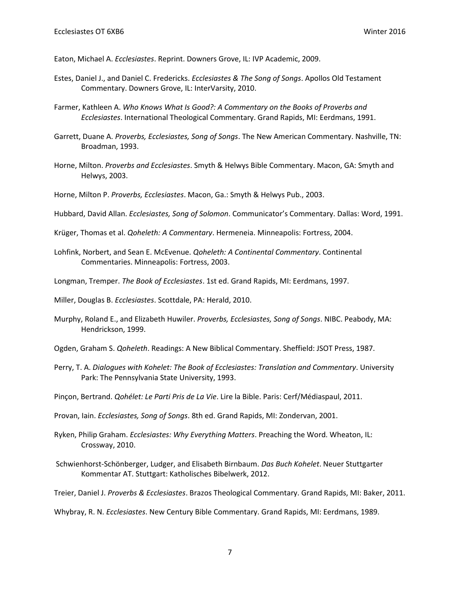Eaton, Michael A. *Ecclesiastes*. Reprint. Downers Grove, IL: IVP Academic, 2009.

- Estes, Daniel J., and Daniel C. Fredericks. *Ecclesiastes & The Song of Songs*. Apollos Old Testament Commentary. Downers Grove, IL: InterVarsity, 2010.
- Farmer, Kathleen A. *Who Knows What Is Good?: A Commentary on the Books of Proverbs and Ecclesiastes*. International Theological Commentary. Grand Rapids, MI: Eerdmans, 1991.
- Garrett, Duane A. *Proverbs, Ecclesiastes, Song of Songs*. The New American Commentary. Nashville, TN: Broadman, 1993.
- Horne, Milton. *Proverbs and Ecclesiastes*. Smyth & Helwys Bible Commentary. Macon, GA: Smyth and Helwys, 2003.
- Horne, Milton P. *Proverbs, Ecclesiastes*. Macon, Ga.: Smyth & Helwys Pub., 2003.
- Hubbard, David Allan. *Ecclesiastes, Song of Solomon*. Communicator's Commentary. Dallas: Word, 1991.
- Krüger, Thomas et al. *Qoheleth: A Commentary*. Hermeneia. Minneapolis: Fortress, 2004.
- Lohfink, Norbert, and Sean E. McEvenue. *Qoheleth: A Continental Commentary*. Continental Commentaries. Minneapolis: Fortress, 2003.
- Longman, Tremper. *The Book of Ecclesiastes*. 1st ed. Grand Rapids, MI: Eerdmans, 1997.
- Miller, Douglas B. *Ecclesiastes*. Scottdale, PA: Herald, 2010.
- Murphy, Roland E., and Elizabeth Huwiler. *Proverbs, Ecclesiastes, Song of Songs*. NIBC. Peabody, MA: Hendrickson, 1999.
- Ogden, Graham S. *Qoheleth*. Readings: A New Biblical Commentary. Sheffield: JSOT Press, 1987.
- Perry, T. A. *Dialogues with Kohelet: The Book of Ecclesiastes: Translation and Commentary*. University Park: The Pennsylvania State University, 1993.
- Pinçon, Bertrand. *Qohélet: Le Parti Pris de La Vie*. Lire la Bible. Paris: Cerf/Médiaspaul, 2011.
- Provan, Iain. *Ecclesiastes, Song of Songs*. 8th ed. Grand Rapids, MI: Zondervan, 2001.
- Ryken, Philip Graham. *Ecclesiastes: Why Everything Matters*. Preaching the Word. Wheaton, IL: Crossway, 2010.
- Schwienhorst-Schönberger, Ludger, and Elisabeth Birnbaum. *Das Buch Kohelet*. Neuer Stuttgarter Kommentar AT. Stuttgart: Katholisches Bibelwerk, 2012.
- Treier, Daniel J. *Proverbs & Ecclesiastes*. Brazos Theological Commentary. Grand Rapids, MI: Baker, 2011.

Whybray, R. N. *Ecclesiastes*. New Century Bible Commentary. Grand Rapids, MI: Eerdmans, 1989.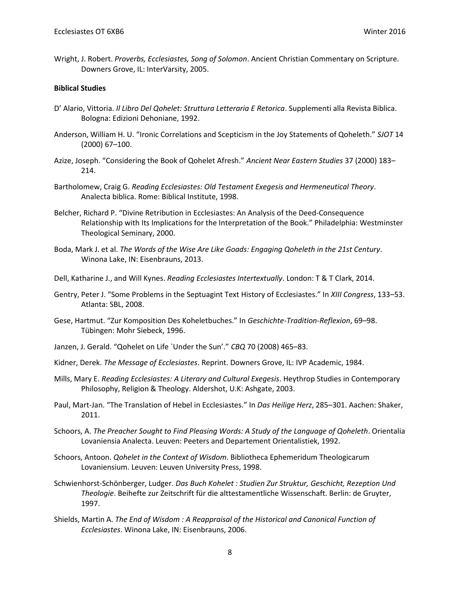Wright, J. Robert. *Proverbs, Ecclesiastes, Song of Solomon*. Ancient Christian Commentary on Scripture. Downers Grove, IL: InterVarsity, 2005.

#### **Biblical Studies**

- D' Alario, Vittoria. *Il Libro Del Qohelet: Struttura Letteraria E Retorica*. Supplementi alla Revista Biblica. Bologna: Edizioni Dehoniane, 1992.
- Anderson, William H. U. "Ironic Correlations and Scepticism in the Joy Statements of Qoheleth." *SJOT* 14 (2000) 67–100.
- Azize, Joseph. "Considering the Book of Qohelet Afresh." *Ancient Near Eastern Studies* 37 (2000) 183– 214.
- Bartholomew, Craig G. *Reading Ecclesiastes: Old Testament Exegesis and Hermeneutical Theory*. Analecta biblica. Rome: Biblical Institute, 1998.
- Belcher, Richard P. "Divine Retribution in Ecclesiastes: An Analysis of the Deed-Consequence Relationship with Its Implications for the Interpretation of the Book." Philadelphia: Westminster Theological Seminary, 2000.
- Boda, Mark J. et al. *The Words of the Wise Are Like Goads: Engaging Qoheleth in the 21st Century*. Winona Lake, IN: Eisenbrauns, 2013.
- Dell, Katharine J., and Will Kynes. *Reading Ecclesiastes Intertextually*. London: T & T Clark, 2014.
- Gentry, Peter J. "Some Problems in the Septuagint Text History of Ecclesiastes." In *XIII Congress*, 133–53. Atlanta: SBL, 2008.
- Gese, Hartmut. "Zur Komposition Des Koheletbuches." In *Geschichte-Tradition-Reflexion*, 69–98. Tübingen: Mohr Siebeck, 1996.
- Janzen, J. Gerald. "Qohelet on Life `Under the Sun'." *CBQ* 70 (2008) 465–83.
- Kidner, Derek. *The Message of Ecclesiastes*. Reprint. Downers Grove, IL: IVP Academic, 1984.
- Mills, Mary E. *Reading Ecclesiastes: A Literary and Cultural Exegesis*. Heythrop Studies in Contemporary Philosophy, Religion & Theology. Aldershot, U.K: Ashgate, 2003.
- Paul, Mart-Jan. "The Translation of Hebel in Ecclesiastes." In *Das Heilige Herz*, 285–301. Aachen: Shaker, 2011.
- Schoors, A. *The Preacher Sought to Find Pleasing Words: A Study of the Language of Qoheleth*. Orientalia Lovaniensia Analecta. Leuven: Peeters and Departement Orientalistiek, 1992.
- Schoors, Antoon. *Qohelet in the Context of Wisdom*. Bibliotheca Ephemeridum Theologicarum Lovaniensium. Leuven: Leuven University Press, 1998.
- Schwienhorst-Schönberger, Ludger. *Das Buch Kohelet : Studien Zur Struktur, Geschicht, Rezeption Und Theologie*. Beihefte zur Zeitschrift für die alttestamentliche Wissenschaft. Berlin: de Gruyter, 1997.
- Shields, Martin A. *The End of Wisdom : A Reappraisal of the Historical and Canonical Function of Ecclesiastes*. Winona Lake, IN: Eisenbrauns, 2006.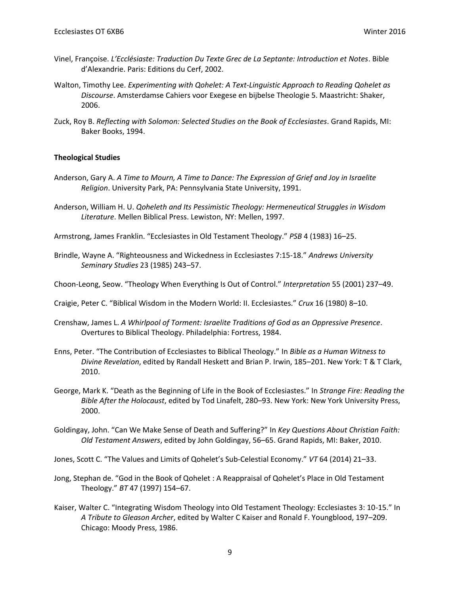- Vinel, Françoise. *L'Ecclésiaste: Traduction Du Texte Grec de La Septante: Introduction et Notes*. Bible d'Alexandrie. Paris: Editions du Cerf, 2002.
- Walton, Timothy Lee. *Experimenting with Qohelet: A Text-Linguistic Approach to Reading Qohelet as Discourse*. Amsterdamse Cahiers voor Exegese en bijbelse Theologie 5. Maastricht: Shaker, 2006.
- Zuck, Roy B. *Reflecting with Solomon: Selected Studies on the Book of Ecclesiastes*. Grand Rapids, MI: Baker Books, 1994.

#### **Theological Studies**

- Anderson, Gary A. *A Time to Mourn, A Time to Dance: The Expression of Grief and Joy in Israelite Religion*. University Park, PA: Pennsylvania State University, 1991.
- Anderson, William H. U. *Qoheleth and Its Pessimistic Theology: Hermeneutical Struggles in Wisdom Literature*. Mellen Biblical Press. Lewiston, NY: Mellen, 1997.
- Armstrong, James Franklin. "Ecclesiastes in Old Testament Theology." *PSB* 4 (1983) 16–25.
- Brindle, Wayne A. "Righteousness and Wickedness in Ecclesiastes 7:15-18." *Andrews University Seminary Studies* 23 (1985) 243–57.
- Choon-Leong, Seow. "Theology When Everything Is Out of Control." *Interpretation* 55 (2001) 237–49.
- Craigie, Peter C. "Biblical Wisdom in the Modern World: II. Ecclesiastes." *Crux* 16 (1980) 8–10.
- Crenshaw, James L. *A Whirlpool of Torment: Israelite Traditions of God as an Oppressive Presence*. Overtures to Biblical Theology. Philadelphia: Fortress, 1984.
- Enns, Peter. "The Contribution of Ecclesiastes to Biblical Theology." In *Bible as a Human Witness to Divine Revelation*, edited by Randall Heskett and Brian P. Irwin, 185–201. New York: T & T Clark, 2010.
- George, Mark K. "Death as the Beginning of Life in the Book of Ecclesiastes." In *Strange Fire: Reading the Bible After the Holocaust*, edited by Tod Linafelt, 280–93. New York: New York University Press, 2000.
- Goldingay, John. "Can We Make Sense of Death and Suffering?" In *Key Questions About Christian Faith: Old Testament Answers*, edited by John Goldingay, 56–65. Grand Rapids, MI: Baker, 2010.

Jones, Scott C. "The Values and Limits of Qohelet's Sub-Celestial Economy." *VT* 64 (2014) 21–33.

- Jong, Stephan de. "God in the Book of Qohelet : A Reappraisal of Qohelet's Place in Old Testament Theology." *BT* 47 (1997) 154–67.
- Kaiser, Walter C. "Integrating Wisdom Theology into Old Testament Theology: Ecclesiastes 3: 10-15." In *A Tribute to Gleason Archer*, edited by Walter C Kaiser and Ronald F. Youngblood, 197–209. Chicago: Moody Press, 1986.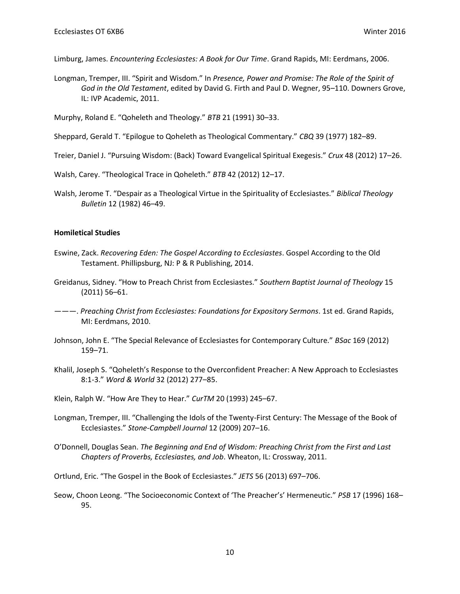Limburg, James. *Encountering Ecclesiastes: A Book for Our Time*. Grand Rapids, MI: Eerdmans, 2006.

Longman, Tremper, III. "Spirit and Wisdom." In *Presence, Power and Promise: The Role of the Spirit of God in the Old Testament*, edited by David G. Firth and Paul D. Wegner, 95–110. Downers Grove, IL: IVP Academic, 2011.

Murphy, Roland E. "Qoheleth and Theology." *BTB* 21 (1991) 30–33.

Sheppard, Gerald T. "Epilogue to Qoheleth as Theological Commentary." *CBQ* 39 (1977) 182–89.

- Treier, Daniel J. "Pursuing Wisdom: (Back) Toward Evangelical Spiritual Exegesis." *Crux* 48 (2012) 17–26.
- Walsh, Carey. "Theological Trace in Qoheleth." *BTB* 42 (2012) 12–17.
- Walsh, Jerome T. "Despair as a Theological Virtue in the Spirituality of Ecclesiastes." *Biblical Theology Bulletin* 12 (1982) 46–49.

#### **Homiletical Studies**

- Eswine, Zack. *Recovering Eden: The Gospel According to Ecclesiastes*. Gospel According to the Old Testament. Phillipsburg, NJ: P & R Publishing, 2014.
- Greidanus, Sidney. "How to Preach Christ from Ecclesiastes." *Southern Baptist Journal of Theology* 15 (2011) 56–61.
- ———. *Preaching Christ from Ecclesiastes: Foundations for Expository Sermons*. 1st ed. Grand Rapids, MI: Eerdmans, 2010.
- Johnson, John E. "The Special Relevance of Ecclesiastes for Contemporary Culture." *BSac* 169 (2012) 159–71.
- Khalil, Joseph S. "Qoheleth's Response to the Overconfident Preacher: A New Approach to Ecclesiastes 8:1-3." *Word & World* 32 (2012) 277–85.
- Klein, Ralph W. "How Are They to Hear." *CurTM* 20 (1993) 245–67.
- Longman, Tremper, III. "Challenging the Idols of the Twenty-First Century: The Message of the Book of Ecclesiastes." *Stone-Campbell Journal* 12 (2009) 207–16.
- O'Donnell, Douglas Sean. *The Beginning and End of Wisdom: Preaching Christ from the First and Last Chapters of Proverbs, Ecclesiastes, and Job*. Wheaton, IL: Crossway, 2011.
- Ortlund, Eric. "The Gospel in the Book of Ecclesiastes." *JETS* 56 (2013) 697–706.
- Seow, Choon Leong. "The Socioeconomic Context of 'The Preacher's' Hermeneutic." *PSB* 17 (1996) 168– 95.